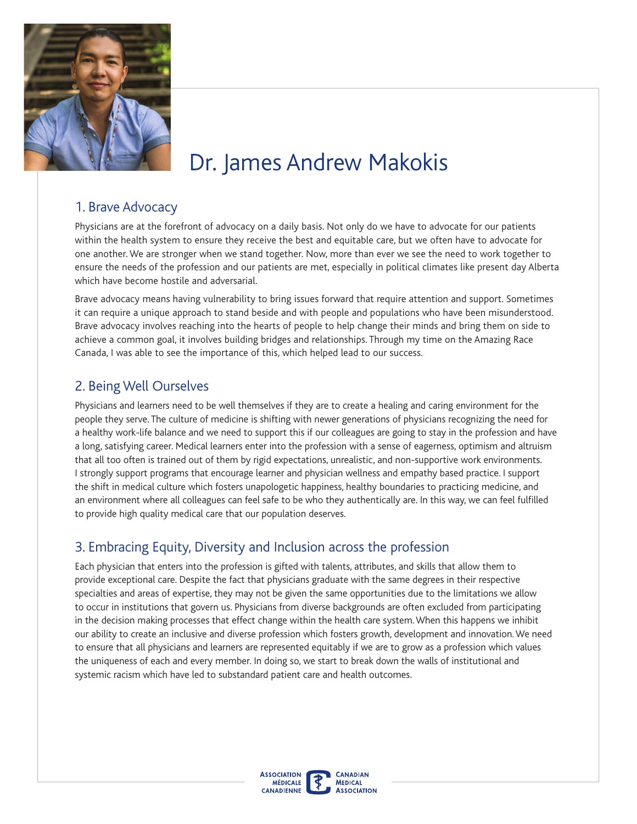

# Dr. James Andrew Makokis

#### 1. Brave Advocacy

Physicians are at the forefront of advocacy on a daily basis. Not only do we have to advocate for our patients within the health system to ensure they receive the best and equitable care, but we often have to advocate for one another. We are stronger when we stand together. Now, more than ever we see the need to work together to ensure the needs of the profession and our patients are met, especially in political climates like present day Alberta which have become hostile and adversarial.

Brave advocacy means having vulnerability to bring issues forward that require attention and support. Sometimes it can require a unique approach to stand beside and with people and populations who have been misunderstood. Brave advocacy involves reaching into the hearts of people to help change their minds and bring them on side to achieve a common goal, it involves building bridges and relationships. Through my time on the Amazing Race Canada, I was able to see the importance of this, which helped lead to our success.

#### 2. Being Well Ourselves

that all too often is trained out of them by rigid expectations, unrealistic, and non-supportive work environments. Physicians and learners need to be well themselves if they are to create a healing and caring environment for the people they serve. The culture of medicine is shifting with newer generations of physicians recognizing the need for a healthy work-life balance and we need to support this if our colleagues are going to stay in the profession and have a long, satisfying career. Medical learners enter into the profession with a sense of eagerness, optimism and altruism I strongly support programs that encourage learner and physician wellness and empathy based practice. I support the shift in medical culture which fosters unapologetic happiness, healthy boundaries to practicing medicine, and an environment where all colleagues can feel safe to be who they authentically are. In this way, we can feel fulflled to provide high quality medical care that our population deserves.

### 3. Embracing Equity, Diversity and Inclusion across the profession

Each physician that enters into the profession is gifted with talents, attributes, and skills that allow them to provide exceptional care. Despite the fact that physicians graduate with the same degrees in their respective specialties and areas of expertise, they may not be given the same opportunities due to the limitations we allow to occur in institutions that govern us. Physicians from diverse backgrounds are often excluded from participating in the decision making processes that effect change within the health care system. When this happens we inhibit our ability to create an inclusive and diverse profession which fosters growth, development and innovation.We need to ensure that all physicians and learners are represented equitably if we are to grow as a profession which values the uniqueness of each and every member. In doing so, we start to break down the walls of institutional and systemic racism which have led to substandard patient care and health outcomes.